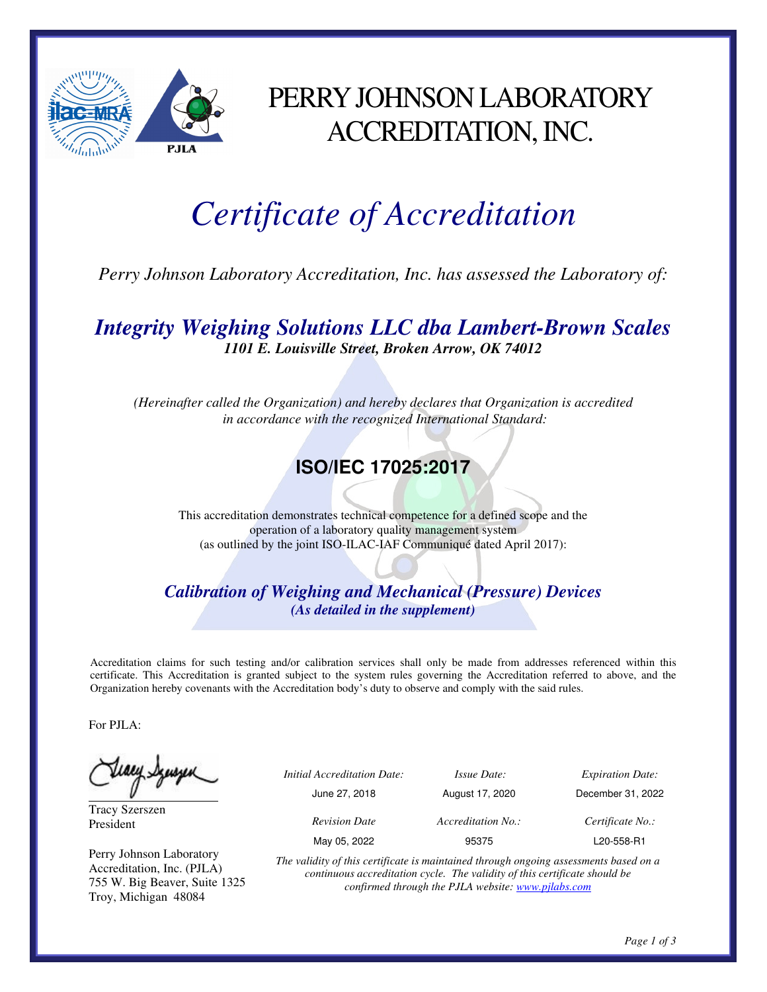

## PERRY JOHNSON LABORATORY ACCREDITATION, INC.

# *Certificate of Accreditation*

*Perry Johnson Laboratory Accreditation, Inc. has assessed the Laboratory of:* 

*Integrity Weighing Solutions LLC dba Lambert-Brown Scales 1101 E. Louisville Street, Broken Arrow, OK 74012* 

*(Hereinafter called the Organization) and hereby declares that Organization is accredited in accordance with the recognized International Standard:* 

### **ISO/IEC 17025:2017**

This accreditation demonstrates technical competence for a defined scope and the operation of a laboratory quality management system (as outlined by the joint ISO-ILAC-IAF Communiqué dated April 2017):

*Calibration of Weighing and Mechanical (Pressure) Devices (As detailed in the supplement)* 

Accreditation claims for such testing and/or calibration services shall only be made from addresses referenced within this certificate. This Accreditation is granted subject to the system rules governing the Accreditation referred to above, and the Organization hereby covenants with the Accreditation body's duty to observe and comply with the said rules.

For PJLA:

Teacy Synsyn

Tracy Szerszen President

Perry Johnson Laboratory Accreditation, Inc. (PJLA) 755 W. Big Beaver, Suite 1325 Troy, Michigan 48084

| ب | <i>Initial Accreditation Date:</i> | <i>Issue Date:</i> | <b>Expiration Date:</b> |
|---|------------------------------------|--------------------|-------------------------|
|   | June 27, 2018                      | August 17, 2020    | December 31, 2022       |
|   | <b>Revision Date</b>               | Accreditation No.: | Certificate No.:        |
|   | May 05, 2022                       | 95375              | L20-558-R1              |

*The validity of this certificate is maintained through ongoing assessments based on a continuous accreditation cycle. The validity of this certificate should be confirmed through the PJLA website: www.pjlabs.com*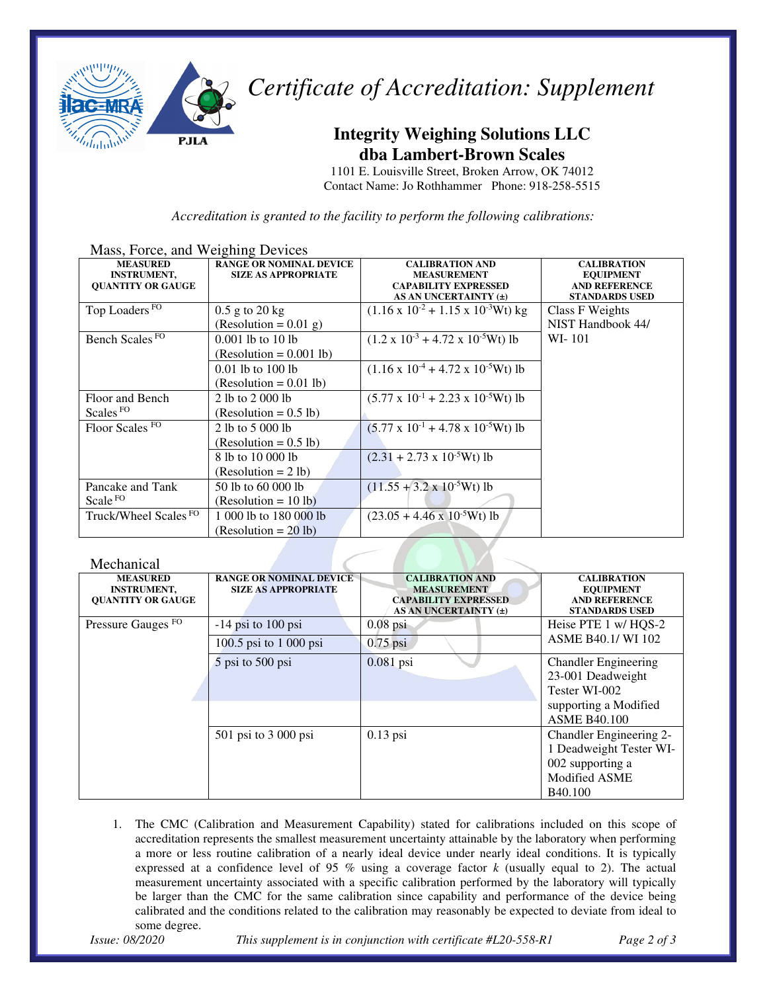

*Certificate of Accreditation: Supplement* 

#### **Integrity Weighing Solutions LLC dba Lambert-Brown Scales**

1101 E. Louisville Street, Broken Arrow, OK 74012 Contact Name: Jo Rothhammer Phone: 918-258-5515

*Accreditation is granted to the facility to perform the following calibrations:*

| Mass, Force, and weighing Devices |                                |                                                     |                       |  |  |
|-----------------------------------|--------------------------------|-----------------------------------------------------|-----------------------|--|--|
| <b>MEASURED</b>                   | <b>RANGE OR NOMINAL DEVICE</b> | <b>CALIBRATION AND</b>                              | <b>CALIBRATION</b>    |  |  |
| <b>INSTRUMENT,</b>                | <b>SIZE AS APPROPRIATE</b>     | <b>MEASUREMENT</b>                                  | <b>EQUIPMENT</b>      |  |  |
| <b>QUANTITY OR GAUGE</b>          |                                | <b>CAPABILITY EXPRESSED</b>                         | <b>AND REFERENCE</b>  |  |  |
|                                   |                                | AS AN UNCERTAINTY (±)                               | <b>STANDARDS USED</b> |  |  |
| Top Loaders <sup>FO</sup>         | $0.5$ g to $20$ kg             | $(1.16 \times 10^{-2} + 1.15 \times 10^{-3} Wt)$ kg | Class F Weights       |  |  |
|                                   | $(Resolution = 0.01 g)$        |                                                     | NIST Handbook 44/     |  |  |
| Bench Scales <sup>FO</sup>        | $0.001$ lb to 10 lb            | $(1.2 \times 10^{-3} + 4.72 \times 10^{-5} Wt)$ lb  | WI-101                |  |  |
|                                   | $(Resolution = 0.001 lb)$      |                                                     |                       |  |  |
|                                   | $0.01$ lb to 100 lb            | $(1.16 \times 10^{-4} + 4.72 \times 10^{-5} Wt)$ lb |                       |  |  |
|                                   | $(Resolution = 0.01 lb)$       |                                                     |                       |  |  |
| Floor and Bench                   | 2 lb to 2 000 lb               | $(5.77 \times 10^{-1} + 2.23 \times 10^{-5} Wt)$ lb |                       |  |  |
| Scales <sup>FO</sup>              | $(Resolution = 0.5 lb)$        |                                                     |                       |  |  |
| Floor Scales FO                   | 2 lb to 5 000 lb               | $(5.77 \times 10^{-1} + 4.78 \times 10^{-5} Wt)$ lb |                       |  |  |
|                                   | $(Resolution = 0.5 lb)$        |                                                     |                       |  |  |
|                                   | 8 lb to 10 000 lb              | $(2.31 + 2.73 \times 10^{-5} Wt)$ lb                |                       |  |  |
|                                   | $(Resolution = 2 lb)$          |                                                     |                       |  |  |
| Pancake and Tank                  | 50 lb to 60 000 lb             | $(11.55 + 3.2 \times 10^{-5} Wt)$ lb                |                       |  |  |
| Scale <sup>FO</sup>               | $(Resolution = 10 lb)$         |                                                     |                       |  |  |
| Truck/Wheel Scales <sup>FO</sup>  | 1 000 lb to 180 000 lb         | $(23.05 + 4.46 \times 10^{-5} Wt)$ lb               |                       |  |  |
|                                   | $(Resolution = 20 lb)$         |                                                     |                       |  |  |

#### Mass, Force, and Weighing Devices

| Mechanical                                                        |                                                              |                                                                                                      |                                                                                         |  |  |
|-------------------------------------------------------------------|--------------------------------------------------------------|------------------------------------------------------------------------------------------------------|-----------------------------------------------------------------------------------------|--|--|
| <b>MEASURED</b><br><b>INSTRUMENT,</b><br><b>OUANTITY OR GAUGE</b> | <b>RANGE OR NOMINAL DEVICE</b><br><b>SIZE AS APPROPRIATE</b> | <b>CALIBRATION AND</b><br><b>MEASUREMENT</b><br><b>CAPABILITY EXPRESSED</b><br>AS AN UNCERTAINTY (±) | <b>CALIBRATION</b><br><b>EQUIPMENT</b><br><b>AND REFERENCE</b><br><b>STANDARDS USED</b> |  |  |
| Pressure Gauges <sup>FO</sup>                                     | $-14$ psi to 100 psi                                         | $0.08$ psi                                                                                           | Heise PTE 1 w/HQS-2                                                                     |  |  |
|                                                                   | 100.5 psi to 1 000 psi                                       | $0.75$ psi                                                                                           | <b>ASME B40.1/WI 102</b>                                                                |  |  |
|                                                                   | 5 psi to 500 psi                                             | $0.081$ psi                                                                                          | <b>Chandler Engineering</b>                                                             |  |  |
|                                                                   |                                                              |                                                                                                      | 23-001 Deadweight                                                                       |  |  |
|                                                                   |                                                              |                                                                                                      | Tester WI-002                                                                           |  |  |
|                                                                   |                                                              |                                                                                                      | supporting a Modified                                                                   |  |  |
|                                                                   |                                                              |                                                                                                      | <b>ASME B40.100</b>                                                                     |  |  |
|                                                                   | 501 psi to 3 000 psi                                         | $0.13$ psi                                                                                           | Chandler Engineering 2-                                                                 |  |  |
|                                                                   |                                                              |                                                                                                      | 1 Deadweight Tester WI-                                                                 |  |  |
|                                                                   |                                                              |                                                                                                      | 002 supporting a                                                                        |  |  |
|                                                                   |                                                              |                                                                                                      | <b>Modified ASME</b>                                                                    |  |  |
|                                                                   |                                                              |                                                                                                      | B <sub>40.100</sub>                                                                     |  |  |

1. The CMC (Calibration and Measurement Capability) stated for calibrations included on this scope of accreditation represents the smallest measurement uncertainty attainable by the laboratory when performing a more or less routine calibration of a nearly ideal device under nearly ideal conditions. It is typically expressed at a confidence level of 95 % using a coverage factor *k* (usually equal to 2). The actual measurement uncertainty associated with a specific calibration performed by the laboratory will typically be larger than the CMC for the same calibration since capability and performance of the device being calibrated and the conditions related to the calibration may reasonably be expected to deviate from ideal to some degree.

*Issue: 08/2020 This supplement is in conjunction with certificate #L20-558-R1 Page 2 of 3*